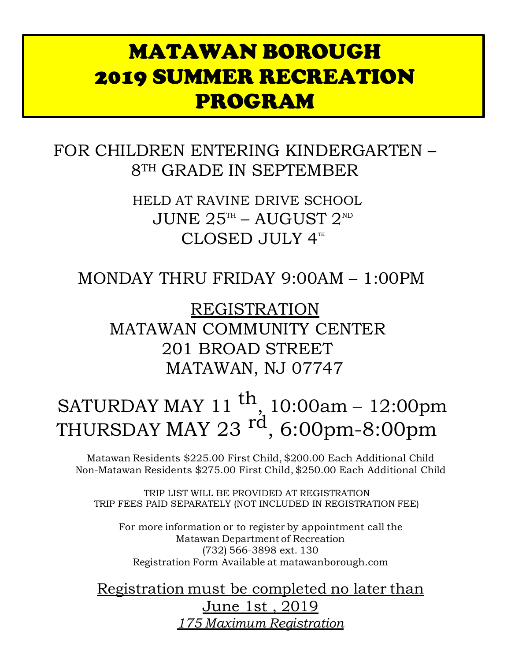## MATAWAN BOROUGH 2019 SUMMER RECREATION PROGRAM

FOR CHILDREN ENTERING KINDERGARTEN – 8TH GRADE IN SEPTEMBER

> HELD AT RAVINE DRIVE SCHOOL JUNE  $25^{\text{th}}$  – AUGUST  $2^{\text{ND}}$ CLOSED JULY  $4^m$

### MONDAY THRU FRIDAY 9:00AM – 1:00PM

REGISTRATION MATAWAN COMMUNITY CENTER 201 BROAD STREET MATAWAN, NJ 07747

# SATURDAY MAY 11 <sup>th</sup>, 10:00am – 12:00pm THURSDAY MAY 23 <sup>rd</sup>, 6:00pm-8:00pm

Matawan Residents \$225.00 First Child, \$200.00 Each Additional Child Non-Matawan Residents \$275.00 First Child, \$250.00 Each Additional Child

TRIP LIST WILL BE PROVIDED AT REGISTRATION TRIP FEES PAID SEPARATELY (NOT INCLUDED IN REGISTRATION FEE)

For more information or to register by appointment call the Matawan Department of Recreation (732) 566-3898 ext. 130 Registration Form Available at matawanborough.com

Registration must be completed no later than June 1st , 2019 *175 Maximum Registration*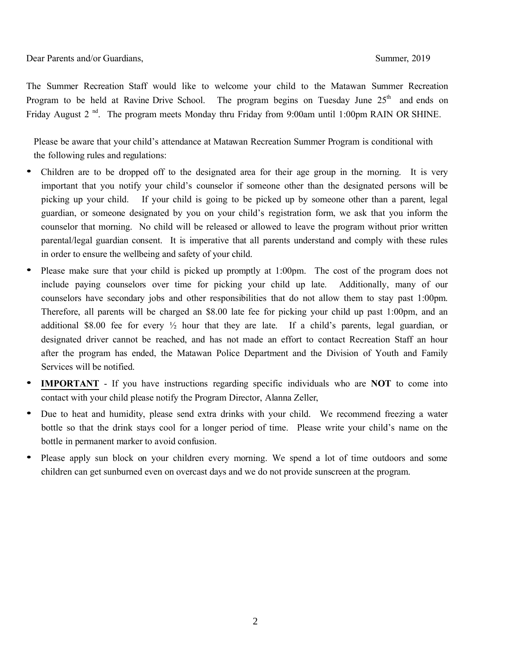Dear Parents and/or Guardians, Summer, 2019

The Summer Recreation Staff would like to welcome your child to the Matawan Summer Recreation Program to be held at Ravine Drive School. The program begins on Tuesday June  $25<sup>th</sup>$  and ends on Friday August 2<sup>nd</sup>. The program meets Monday thru Friday from 9:00am until 1:00pm RAIN OR SHINE.

Please be aware that your child's attendance at Matawan Recreation Summer Program is conditional with the following rules and regulations:

- Children are to be dropped off to the designated area for their age group in the morning. It is very important that you notify your child's counselor if someone other than the designated persons will be picking up your child. If your child is going to be picked up by someone other than a parent, legal guardian, or someone designated by you on your child's registration form, we ask that you inform the counselor that morning. No child will be released or allowed to leave the program without prior written parental/legal guardian consent. It is imperative that all parents understand and comply with these rules in order to ensure the wellbeing and safety of your child.
- Please make sure that your child is picked up promptly at 1:00pm. The cost of the program does not include paying counselors over time for picking your child up late. Additionally, many of our counselors have secondary jobs and other responsibilities that do not allow them to stay past 1:00pm. Therefore, all parents will be charged an \$8.00 late fee for picking your child up past 1:00pm, and an additional \$8.00 fee for every ½ hour that they are late. If a child's parents, legal guardian, or designated driver cannot be reached, and has not made an effort to contact Recreation Staff an hour after the program has ended, the Matawan Police Department and the Division of Youth and Family Services will be notified.
- **IMPORTANT** If you have instructions regarding specific individuals who are **NOT** to come into contact with your child please notify the Program Director, Alanna Zeller,
- Due to heat and humidity, please send extra drinks with your child. We recommend freezing a water bottle so that the drink stays cool for a longer period of time. Please write your child's name on the bottle in permanent marker to avoid confusion.
- Please apply sun block on your children every morning. We spend a lot of time outdoors and some children can get sunburned even on overcast days and we do not provide sunscreen at the program.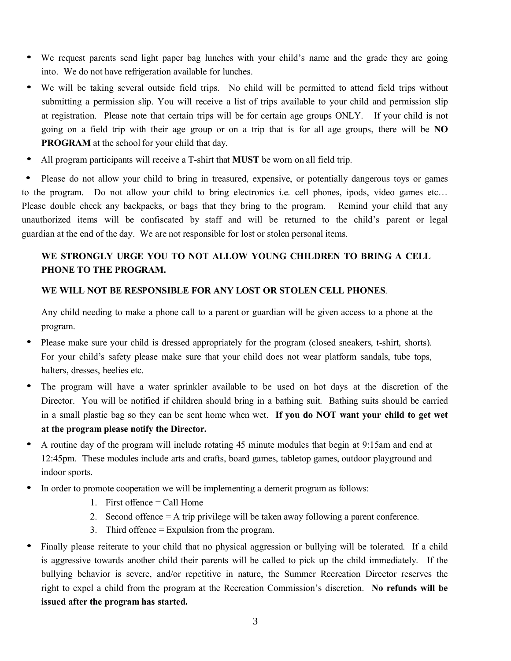- We request parents send light paper bag lunches with your child's name and the grade they are going into. We do not have refrigeration available for lunches.
- We will be taking several outside field trips. No child will be permitted to attend field trips without submitting a permission slip. You will receive a list of trips available to your child and permission slip at registration. Please note that certain trips will be for certain age groups ONLY. If your child is not going on a field trip with their age group or on a trip that is for all age groups, there will be **NO PROGRAM** at the school for your child that day.
- All program participants will receive a T-shirt that **MUST** be worn on all field trip.

• Please do not allow your child to bring in treasured, expensive, or potentially dangerous toys or games to the program. Do not allow your child to bring electronics i.e. cell phones, ipods, video games etc… Please double check any backpacks, or bags that they bring to the program. Remind your child that any unauthorized items will be confiscated by staff and will be returned to the child's parent or legal guardian at the end of the day. We are not responsible for lost or stolen personal items.

#### **WE STRONGLY URGE YOU TO NOT ALLOW YOUNG CHILDREN TO BRING A CELL PHONE TO THE PROGRAM.**

#### **WE WILL NOT BE RESPONSIBLE FOR ANY LOST OR STOLEN CELL PHONES**.

Any child needing to make a phone call to a parent or guardian will be given access to a phone at the program.

- Please make sure your child is dressed appropriately for the program (closed sneakers, t-shirt, shorts). For your child's safety please make sure that your child does not wear platform sandals, tube tops, halters, dresses, heelies etc.
- The program will have a water sprinkler available to be used on hot days at the discretion of the Director. You will be notified if children should bring in a bathing suit. Bathing suits should be carried in a small plastic bag so they can be sent home when wet. **If you do NOT want your child to get wet at the program please notify the Director.**
- A routine day of the program will include rotating 45 minute modules that begin at 9:15am and end at 12:45pm. These modules include arts and crafts, board games, tabletop games, outdoor playground and indoor sports.
- In order to promote cooperation we will be implementing a demerit program as follows:
	- 1. First offence  $=$  Call Home
	- 2. Second offence = A trip privilege will be taken away following a parent conference.
	- 3. Third offence = Expulsion from the program.
- Finally please reiterate to your child that no physical aggression or bullying will be tolerated. If a child is aggressive towards another child their parents will be called to pick up the child immediately. If the bullying behavior is severe, and/or repetitive in nature, the Summer Recreation Director reserves the right to expel a child from the program at the Recreation Commission's discretion. **No refunds will be issued after the programhas started.**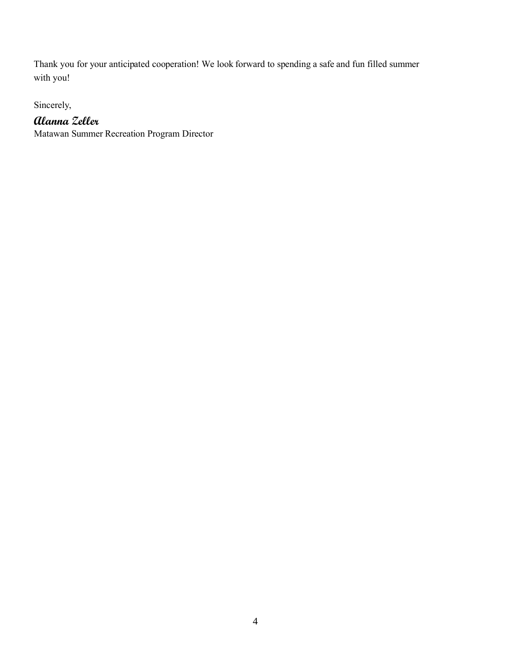Thank you for your anticipated cooperation! We look forward to spending a safeand fun filled summer with you!

Sincerely,

### **Alanna Zeller**

Matawan Summer Recreation Program Director